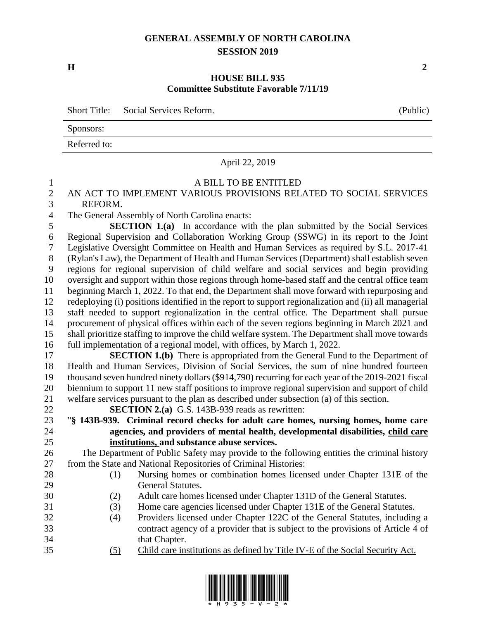#### **GENERAL ASSEMBLY OF NORTH CAROLINA SESSION 2019**

**H 2**

#### **HOUSE BILL 935 Committee Substitute Favorable 7/11/19**

|              | Short Title: Social Services Reform. | (Public) |
|--------------|--------------------------------------|----------|
| Sponsors:    |                                      |          |
| Referred to: |                                      |          |
|              |                                      |          |

#### April 22, 2019

#### A BILL TO BE ENTITLED

#### AN ACT TO IMPLEMENT VARIOUS PROVISIONS RELATED TO SOCIAL SERVICES REFORM.

The General Assembly of North Carolina enacts:

 **SECTION 1.(a)** In accordance with the plan submitted by the Social Services Regional Supervision and Collaboration Working Group (SSWG) in its report to the Joint Legislative Oversight Committee on Health and Human Services as required by S.L. 2017-41 (Rylan's Law), the Department of Health and Human Services (Department) shall establish seven regions for regional supervision of child welfare and social services and begin providing oversight and support within those regions through home-based staff and the central office team beginning March 1, 2022. To that end, the Department shall move forward with repurposing and redeploying (i) positions identified in the report to support regionalization and (ii) all managerial staff needed to support regionalization in the central office. The Department shall pursue procurement of physical offices within each of the seven regions beginning in March 2021 and shall prioritize staffing to improve the child welfare system. The Department shall move towards full implementation of a regional model, with offices, by March 1, 2022.

 **SECTION 1.(b)** There is appropriated from the General Fund to the Department of Health and Human Services, Division of Social Services, the sum of nine hundred fourteen thousand seven hundred ninety dollars (\$914,790) recurring for each year of the 2019-2021 fiscal biennium to support 11 new staff positions to improve regional supervision and support of child welfare services pursuant to the plan as described under subsection (a) of this section.

 "**§ 143B-939. Criminal record checks for adult care homes, nursing homes, home care agencies, and providers of mental health, developmental disabilities, child care** 

The Department of Public Safety may provide to the following entities the criminal history

- (1) Nursing homes or combination homes licensed under Chapter 131E of the
	-
	-
- contract agency of a provider that is subject to the provisions of Article 4 of that Chapter.
- (5) Child care institutions as defined by Title IV-E of the Social Security Act.



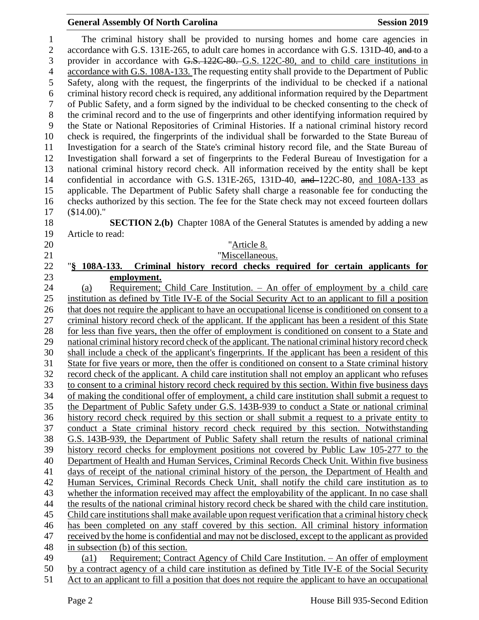#### **General Assembly Of North Carolina Session 2019 Session 2019**

 The criminal history shall be provided to nursing homes and home care agencies in 2 accordance with G.S. 131E-265, to adult care homes in accordance with G.S. 131D-40, and to a provider in accordance with G.S. 122C-80. G.S. 122C-80, and to child care institutions in accordance with G.S. 108A-133. The requesting entity shall provide to the Department of Public Safety, along with the request, the fingerprints of the individual to be checked if a national criminal history record check is required, any additional information required by the Department of Public Safety, and a form signed by the individual to be checked consenting to the check of the criminal record and to the use of fingerprints and other identifying information required by the State or National Repositories of Criminal Histories. If a national criminal history record check is required, the fingerprints of the individual shall be forwarded to the State Bureau of Investigation for a search of the State's criminal history record file, and the State Bureau of Investigation shall forward a set of fingerprints to the Federal Bureau of Investigation for a national criminal history record check. All information received by the entity shall be kept confidential in accordance with G.S. 131E-265, 131D-40, and 122C-80, and 108A-133 as applicable. The Department of Public Safety shall charge a reasonable fee for conducting the checks authorized by this section. The fee for the State check may not exceed fourteen dollars (\$14.00)." **SECTION 2.(b)** Chapter 108A of the General Statutes is amended by adding a new

Article to read:

#### "Article 8.

# **"Miscellaneous.**

 "**§ 108A-133. Criminal history record checks required for certain applicants for employment.**

 (a) Requirement; Child Care Institution. – An offer of employment by a child care institution as defined by Title IV-E of the Social Security Act to an applicant to fill a position that does not require the applicant to have an occupational license is conditioned on consent to a criminal history record check of the applicant. If the applicant has been a resident of this State for less than five years, then the offer of employment is conditioned on consent to a State and national criminal history record check of the applicant. The national criminal history record check shall include a check of the applicant's fingerprints. If the applicant has been a resident of this State for five years or more, then the offer is conditioned on consent to a State criminal history record check of the applicant. A child care institution shall not employ an applicant who refuses to consent to a criminal history record check required by this section. Within five business days of making the conditional offer of employment, a child care institution shall submit a request to the Department of Public Safety under G.S. 143B-939 to conduct a State or national criminal history record check required by this section or shall submit a request to a private entity to conduct a State criminal history record check required by this section. Notwithstanding G.S. 143B-939, the Department of Public Safety shall return the results of national criminal history record checks for employment positions not covered by Public Law 105-277 to the Department of Health and Human Services, Criminal Records Check Unit. Within five business days of receipt of the national criminal history of the person, the Department of Health and Human Services, Criminal Records Check Unit, shall notify the child care institution as to whether the information received may affect the employability of the applicant. In no case shall the results of the national criminal history record check be shared with the child care institution. Child care institutions shall make available upon request verification that a criminal history check has been completed on any staff covered by this section. All criminal history information received by the home is confidential and may not be disclosed, except to the applicant as provided in subsection (b) of this section. (a1) Requirement; Contract Agency of Child Care Institution. – An offer of employment by a contract agency of a child care institution as defined by Title IV-E of the Social Security

Act to an applicant to fill a position that does not require the applicant to have an occupational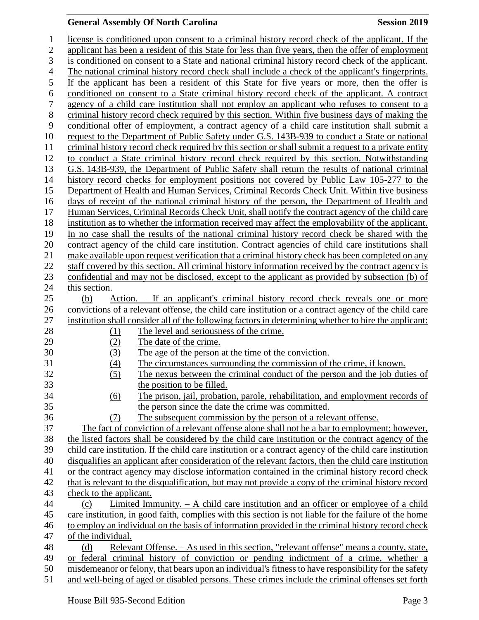## **General Assembly Of North Carolina Session 2019**

| 1                | license is conditioned upon consent to a criminal history record check of the applicant. If the          |
|------------------|----------------------------------------------------------------------------------------------------------|
| $\mathbf{2}$     | applicant has been a resident of this State for less than five years, then the offer of employment       |
| 3                | is conditioned on consent to a State and national criminal history record check of the applicant.        |
| $\overline{4}$   | The national criminal history record check shall include a check of the applicant's fingerprints.        |
| 5                | If the applicant has been a resident of this State for five years or more, then the offer is             |
| 6                | conditioned on consent to a State criminal history record check of the applicant. A contract             |
| $\boldsymbol{7}$ |                                                                                                          |
|                  | agency of a child care institution shall not employ an applicant who refuses to consent to a             |
| $8\,$            | criminal history record check required by this section. Within five business days of making the          |
| 9                | conditional offer of employment, a contract agency of a child care institution shall submit a            |
| 10               | request to the Department of Public Safety under G.S. 143B-939 to conduct a State or national            |
| 11               | criminal history record check required by this section or shall submit a request to a private entity     |
| 12               | to conduct a State criminal history record check required by this section. Notwithstanding               |
| 13               | G.S. 143B-939, the Department of Public Safety shall return the results of national criminal             |
| 14               | history record checks for employment positions not covered by Public Law 105-277 to the                  |
| 15               | Department of Health and Human Services, Criminal Records Check Unit. Within five business               |
| 16               | days of receipt of the national criminal history of the person, the Department of Health and             |
| 17               | Human Services, Criminal Records Check Unit, shall notify the contract agency of the child care          |
| 18               | institution as to whether the information received may affect the employability of the applicant.        |
| 19               | In no case shall the results of the national criminal history record check be shared with the            |
| 20               | contract agency of the child care institution. Contract agencies of child care institutions shall        |
| 21               | make available upon request verification that a criminal history check has been completed on any         |
| 22               | staff covered by this section. All criminal history information received by the contract agency is       |
| 23               | confidential and may not be disclosed, except to the applicant as provided by subsection (b) of          |
| 24               | this section.                                                                                            |
| 25               | (b)<br>Action. – If an applicant's criminal history record check reveals one or more                     |
| 26               | convictions of a relevant offense, the child care institution or a contract agency of the child care     |
| 27               | institution shall consider all of the following factors in determining whether to hire the applicant:    |
| 28               | The level and seriousness of the crime.<br><u>(1)</u>                                                    |
| 29               | (2)<br>The date of the crime.                                                                            |
| 30               | (3)<br>The age of the person at the time of the conviction.                                              |
| 31               | The circumstances surrounding the commission of the crime, if known.<br>(4)                              |
| 32               | The nexus between the criminal conduct of the person and the job duties of<br>(5)                        |
| 33               | the position to be filled.                                                                               |
| 34               | (6)<br>The prison, jail, probation, parole, rehabilitation, and employment records of                    |
| 35               | the person since the date the crime was committed.                                                       |
| 36               | The subsequent commission by the person of a relevant offense.                                           |
| 37               | (7)                                                                                                      |
| 38               | The fact of conviction of a relevant offense alone shall not be a bar to employment; however,            |
|                  | the listed factors shall be considered by the child care institution or the contract agency of the       |
| 39               | child care institution. If the child care institution or a contract agency of the child care institution |
| 40               | disqualifies an applicant after consideration of the relevant factors, then the child care institution   |
| 41               | or the contract agency may disclose information contained in the criminal history record check           |
| 42               | that is relevant to the disqualification, but may not provide a copy of the criminal history record      |
| 43               | check to the applicant.                                                                                  |
| 44               | Limited Immunity. $-$ A child care institution and an officer or employee of a child<br>(c)              |
| 45               | care institution, in good faith, complies with this section is not liable for the failure of the home    |
| 46               | to employ an individual on the basis of information provided in the criminal history record check        |
| 47               | of the individual.                                                                                       |
| 48               | <u>Relevant Offense. – As used in this section, "relevant offense" means a county, state,</u><br>(d)     |
| 49               | or federal criminal history of conviction or pending indictment of a crime, whether a                    |
| 50               | misdemeanor or felony, that bears upon an individual's fitness to have responsibility for the safety     |
| 51               | and well-being of aged or disabled persons. These crimes include the criminal offenses set forth         |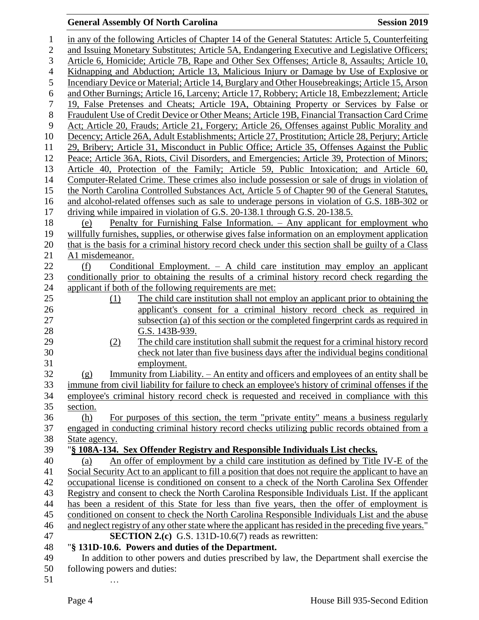### **General Assembly Of North Carolina Session 2019**

| $\mathbf 1$      | in any of the following Articles of Chapter 14 of the General Statutes: Article 5, Counterfeiting     |
|------------------|-------------------------------------------------------------------------------------------------------|
| $\mathfrak{2}$   | and Issuing Monetary Substitutes; Article 5A, Endangering Executive and Legislative Officers;         |
| 3                | Article 6, Homicide; Article 7B, Rape and Other Sex Offenses; Article 8, Assaults; Article 10,        |
| $\overline{4}$   | Kidnapping and Abduction; Article 13, Malicious Injury or Damage by Use of Explosive or               |
| 5                | Incendiary Device or Material; Article 14, Burglary and Other Housebreakings; Article 15, Arson       |
| 6                | and Other Burnings; Article 16, Larceny; Article 17, Robbery; Article 18, Embezzlement; Article       |
| $\boldsymbol{7}$ | 19, False Pretenses and Cheats; Article 19A, Obtaining Property or Services by False or               |
| $8\,$            | Fraudulent Use of Credit Device or Other Means; Article 19B, Financial Transaction Card Crime         |
| 9                | Act; Article 20, Frauds; Article 21, Forgery; Article 26, Offenses against Public Morality and        |
| 10               | Decency; Article 26A, Adult Establishments; Article 27, Prostitution; Article 28, Perjury; Article    |
| 11               | 29, Bribery; Article 31, Misconduct in Public Office; Article 35, Offenses Against the Public         |
| 12               | Peace; Article 36A, Riots, Civil Disorders, and Emergencies; Article 39, Protection of Minors;        |
| 13               | Article 40, Protection of the Family; Article 59, Public Intoxication; and Article 60,                |
| 14               | Computer-Related Crime. These crimes also include possession or sale of drugs in violation of         |
| 15               | the North Carolina Controlled Substances Act, Article 5 of Chapter 90 of the General Statutes,        |
| 16               | and alcohol-related offenses such as sale to underage persons in violation of G.S. 18B-302 or         |
| 17               | driving while impaired in violation of G.S. 20-138.1 through G.S. 20-138.5.                           |
| 18               | Penalty for Furnishing False Information. - Any applicant for employment who<br>(e)                   |
| 19               | willfully furnishes, supplies, or otherwise gives false information on an employment application      |
| 20               | that is the basis for a criminal history record check under this section shall be guilty of a Class   |
| 21               | A1 misdemeanor.                                                                                       |
| 22               | Conditional Employment. $-$ A child care institution may employ an applicant<br>(f)                   |
| 23               | conditionally prior to obtaining the results of a criminal history record check regarding the         |
| 24               | applicant if both of the following requirements are met:                                              |
| 25               | The child care institution shall not employ an applicant prior to obtaining the<br>(1)                |
| 26               | applicant's consent for a criminal history record check as required in                                |
| 27               | subsection (a) of this section or the completed fingerprint cards as required in                      |
| 28               | G.S. 143B-939.                                                                                        |
| 29               | The child care institution shall submit the request for a criminal history record<br>(2)              |
| 30               | check not later than five business days after the individual begins conditional                       |
| 31               | employment.                                                                                           |
| 32               | Immunity from Liability. - An entity and officers and employees of an entity shall be<br>(g)          |
| 33               | immune from civil liability for failure to check an employee's history of criminal offenses if the    |
| 34               | employee's criminal history record check is requested and received in compliance with this            |
| 35               | section.                                                                                              |
| 36               | For purposes of this section, the term "private entity" means a business regularly<br>(h)             |
| 37               | engaged in conducting criminal history record checks utilizing public records obtained from a         |
| 38               | State agency.                                                                                         |
| 39               | "§ 108A-134. Sex Offender Registry and Responsible Individuals List checks.                           |
| 40               | An offer of employment by a child care institution as defined by Title IV-E of the<br>(a)             |
| 41               | Social Security Act to an applicant to fill a position that does not require the applicant to have an |
| 42               | occupational license is conditioned on consent to a check of the North Carolina Sex Offender          |
| 43               | Registry and consent to check the North Carolina Responsible Individuals List. If the applicant       |
| 44               | has been a resident of this State for less than five years, then the offer of employment is           |
| 45               | conditioned on consent to check the North Carolina Responsible Individuals List and the abuse         |
| 46               | and neglect registry of any other state where the applicant has resided in the preceding five years." |
| 47               | <b>SECTION 2.(c)</b> G.S. 131D-10.6(7) reads as rewritten:                                            |
| 48               | "§ 131D-10.6. Powers and duties of the Department.                                                    |
| 49               | In addition to other powers and duties prescribed by law, the Department shall exercise the           |
| 50               | following powers and duties.                                                                          |

50 following powers and duties: 51 …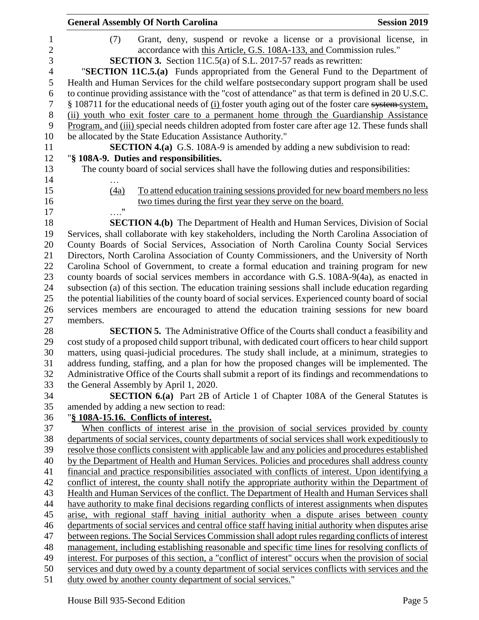|                     | <b>General Assembly Of North Carolina</b>                                                                                                                                                    | <b>Session 2019</b> |
|---------------------|----------------------------------------------------------------------------------------------------------------------------------------------------------------------------------------------|---------------------|
| 1<br>$\overline{2}$ | Grant, deny, suspend or revoke a license or a provisional license, in<br>(7)<br>accordance with this Article, G.S. 108A-133, and Commission rules."                                          |                     |
| 3                   | <b>SECTION 3.</b> Section 11C.5(a) of S.L. 2017-57 reads as rewritten:                                                                                                                       |                     |
| 4                   | "SECTION 11C.5.(a) Funds appropriated from the General Fund to the Department of                                                                                                             |                     |
| 5                   | Health and Human Services for the child welfare postsecondary support program shall be used                                                                                                  |                     |
| 6                   | to continue providing assistance with the "cost of attendance" as that term is defined in 20 U.S.C.                                                                                          |                     |
| 7                   | § 108711 for the educational needs of (i) foster youth aging out of the foster care system system.                                                                                           |                     |
| 8                   | (ii) youth who exit foster care to a permanent home through the Guardianship Assistance                                                                                                      |                     |
| 9                   | Program, and (iii) special needs children adopted from foster care after age 12. These funds shall                                                                                           |                     |
| 10                  | be allocated by the State Education Assistance Authority."                                                                                                                                   |                     |
| 11                  | <b>SECTION 4.(a)</b> G.S. 108A-9 is amended by adding a new subdivision to read:                                                                                                             |                     |
| 12                  | "§ 108A-9. Duties and responsibilities.                                                                                                                                                      |                     |
| 13                  | The county board of social services shall have the following duties and responsibilities:                                                                                                    |                     |
| 14                  |                                                                                                                                                                                              |                     |
| 15                  | To attend education training sessions provided for new board members no less<br>(4a)                                                                                                         |                     |
| 16                  | two times during the first year they serve on the board.                                                                                                                                     |                     |
| 17                  |                                                                                                                                                                                              |                     |
| 18                  | <b>SECTION 4.(b)</b> The Department of Health and Human Services, Division of Social                                                                                                         |                     |
| 19                  | Services, shall collaborate with key stakeholders, including the North Carolina Association of                                                                                               |                     |
| 20                  | County Boards of Social Services, Association of North Carolina County Social Services                                                                                                       |                     |
| 21                  | Directors, North Carolina Association of County Commissioners, and the University of North                                                                                                   |                     |
| 22                  | Carolina School of Government, to create a formal education and training program for new                                                                                                     |                     |
| 23                  | county boards of social services members in accordance with G.S. 108A-9(4a), as enacted in                                                                                                   |                     |
| 24                  | subsection (a) of this section. The education training sessions shall include education regarding                                                                                            |                     |
| 25                  | the potential liabilities of the county board of social services. Experienced county board of social                                                                                         |                     |
| 26                  | services members are encouraged to attend the education training sessions for new board                                                                                                      |                     |
| 27                  | members.                                                                                                                                                                                     |                     |
| 28                  | SECTION 5. The Administrative Office of the Courts shall conduct a feasibility and                                                                                                           |                     |
| 29                  | cost study of a proposed child support tribunal, with dedicated court officers to hear child support                                                                                         |                     |
| 30                  | matters, using quasi-judicial procedures. The study shall include, at a minimum, strategies to                                                                                               |                     |
| 31                  | address funding, staffing, and a plan for how the proposed changes will be implemented. The                                                                                                  |                     |
| 32                  | Administrative Office of the Courts shall submit a report of its findings and recommendations to                                                                                             |                     |
| 33                  | the General Assembly by April 1, 2020.                                                                                                                                                       |                     |
| 34                  | <b>SECTION 6.(a)</b> Part 2B of Article 1 of Chapter 108A of the General Statutes is                                                                                                         |                     |
| 35                  | amended by adding a new section to read:                                                                                                                                                     |                     |
| 36                  | "§ 108A-15.16. Conflicts of interest.                                                                                                                                                        |                     |
| 37                  | When conflicts of interest arise in the provision of social services provided by county<br>departments of social services, county departments of social services shall work expeditiously to |                     |
| 38<br>39            | resolve those conflicts consistent with applicable law and any policies and procedures established                                                                                           |                     |
| 40                  | by the Department of Health and Human Services. Policies and procedures shall address county                                                                                                 |                     |
| 41                  | financial and practice responsibilities associated with conflicts of interest. Upon identifying a                                                                                            |                     |
| 42                  | conflict of interest, the county shall notify the appropriate authority within the Department of                                                                                             |                     |
| 43                  | Health and Human Services of the conflict. The Department of Health and Human Services shall                                                                                                 |                     |
| 44                  | have authority to make final decisions regarding conflicts of interest assignments when disputes                                                                                             |                     |
| 45                  | arise, with regional staff having initial authority when a dispute arises between county                                                                                                     |                     |
| 46                  | departments of social services and central office staff having initial authority when disputes arise                                                                                         |                     |
| 47                  | between regions. The Social Services Commission shall adopt rules regarding conflicts of interest                                                                                            |                     |
| 48                  | management, including establishing reasonable and specific time lines for resolving conflicts of                                                                                             |                     |
| 49                  | interest. For purposes of this section, a "conflict of interest" occurs when the provision of social                                                                                         |                     |
| 50                  | services and duty owed by a county department of social services conflicts with services and the                                                                                             |                     |
| 51                  | duty owed by another county department of social services."                                                                                                                                  |                     |
|                     |                                                                                                                                                                                              |                     |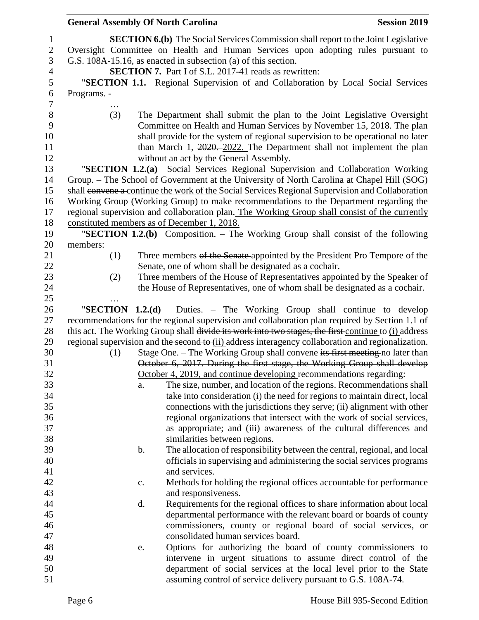| <b>General Assembly Of North Carolina</b> |    |                                                                                                      | <b>Session 2019</b> |
|-------------------------------------------|----|------------------------------------------------------------------------------------------------------|---------------------|
|                                           |    | <b>SECTION 6.(b)</b> The Social Services Commission shall report to the Joint Legislative            |                     |
|                                           |    | Oversight Committee on Health and Human Services upon adopting rules pursuant to                     |                     |
|                                           |    | G.S. 108A-15.16, as enacted in subsection (a) of this section.                                       |                     |
|                                           |    | <b>SECTION 7.</b> Part I of S.L. 2017-41 reads as rewritten:                                         |                     |
|                                           |    | "SECTION 1.1. Regional Supervision of and Collaboration by Local Social Services                     |                     |
| Programs. -                               |    |                                                                                                      |                     |
|                                           |    |                                                                                                      |                     |
| (3)                                       |    | The Department shall submit the plan to the Joint Legislative Oversight                              |                     |
|                                           |    | Committee on Health and Human Services by November 15, 2018. The plan                                |                     |
|                                           |    | shall provide for the system of regional supervision to be operational no later                      |                     |
|                                           |    | than March 1, 2020. 2022. The Department shall not implement the plan                                |                     |
|                                           |    | without an act by the General Assembly.                                                              |                     |
|                                           |    | "SECTION 1.2.(a) Social Services Regional Supervision and Collaboration Working                      |                     |
|                                           |    | Group. – The School of Government at the University of North Carolina at Chapel Hill (SOG)           |                     |
|                                           |    | shall convene a continue the work of the Social Services Regional Supervision and Collaboration      |                     |
|                                           |    | Working Group (Working Group) to make recommendations to the Department regarding the                |                     |
|                                           |    | regional supervision and collaboration plan. The Working Group shall consist of the currently        |                     |
|                                           |    | constituted members as of December 1, 2018.                                                          |                     |
|                                           |    | "SECTION 1.2.(b) Composition. - The Working Group shall consist of the following                     |                     |
| members:                                  |    |                                                                                                      |                     |
| (1)                                       |    | Three members of the Senate appointed by the President Pro Tempore of the                            |                     |
|                                           |    | Senate, one of whom shall be designated as a cochair.                                                |                     |
| (2)                                       |    | Three members of the House of Representatives appointed by the Speaker of                            |                     |
|                                           |    | the House of Representatives, one of whom shall be designated as a cochair.                          |                     |
|                                           |    |                                                                                                      |                     |
| "SECTION $1.2(d)$                         |    | Duties. – The Working Group shall continue to develop                                                |                     |
|                                           |    | recommendations for the regional supervision and collaboration plan required by Section 1.1 of       |                     |
|                                           |    | this act. The Working Group shall divide its work into two stages, the first continue to (i) address |                     |
|                                           |    | regional supervision and the second to (ii) address interagency collaboration and regionalization.   |                     |
| (1)                                       |    | Stage One. – The Working Group shall convene its first meeting no later than                         |                     |
|                                           |    | October 6, 2017. During the first stage, the Working Group shall develop                             |                     |
|                                           |    | October 4, 2019, and continue developing recommendations regarding:                                  |                     |
|                                           | a. | The size, number, and location of the regions. Recommendations shall                                 |                     |
|                                           |    | take into consideration (i) the need for regions to maintain direct, local                           |                     |
|                                           |    | connections with the jurisdictions they serve; (ii) alignment with other                             |                     |
|                                           |    | regional organizations that intersect with the work of social services,                              |                     |
|                                           |    | as appropriate; and (iii) awareness of the cultural differences and                                  |                     |
|                                           |    | similarities between regions.                                                                        |                     |
|                                           | b. | The allocation of responsibility between the central, regional, and local                            |                     |
|                                           |    | officials in supervising and administering the social services programs                              |                     |
|                                           |    | and services.                                                                                        |                     |
|                                           | c. | Methods for holding the regional offices accountable for performance                                 |                     |
|                                           |    | and responsiveness.                                                                                  |                     |
|                                           | d. | Requirements for the regional offices to share information about local                               |                     |
|                                           |    | departmental performance with the relevant board or boards of county                                 |                     |
|                                           |    | commissioners, county or regional board of social services, or                                       |                     |
|                                           |    | consolidated human services board.                                                                   |                     |
|                                           | e. | Options for authorizing the board of county commissioners to                                         |                     |
|                                           |    | intervene in urgent situations to assume direct control of the                                       |                     |
|                                           |    | department of social services at the local level prior to the State                                  |                     |
|                                           |    | assuming control of service delivery pursuant to G.S. 108A-74.                                       |                     |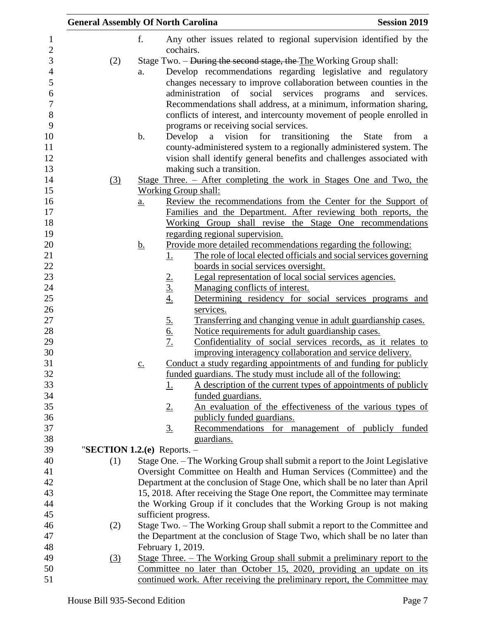|                  |               | <b>General Assembly Of North Carolina</b>                                                                                                                 | <b>Session 2019</b>                  |
|------------------|---------------|-----------------------------------------------------------------------------------------------------------------------------------------------------------|--------------------------------------|
|                  | f.            | Any other issues related to regional supervision identified by the<br>cochairs.                                                                           |                                      |
| (2)              |               | Stage Two. – During the second stage, the The Working Group shall:                                                                                        |                                      |
|                  | a.            | Develop recommendations regarding legislative and regulatory                                                                                              |                                      |
|                  |               | changes necessary to improve collaboration between counties in the                                                                                        |                                      |
|                  |               | social<br>administration<br>of<br>services<br>programs                                                                                                    | and<br>services.                     |
|                  |               | Recommendations shall address, at a minimum, information sharing,                                                                                         |                                      |
|                  |               | conflicts of interest, and intercounty movement of people enrolled in                                                                                     |                                      |
|                  |               | programs or receiving social services.                                                                                                                    |                                      |
|                  | $\mathbf b$ . | for transitioning the<br>Develop a vision                                                                                                                 | <b>State</b><br>from<br><sub>a</sub> |
|                  |               | county-administered system to a regionally administered system. The                                                                                       |                                      |
|                  |               | vision shall identify general benefits and challenges associated with                                                                                     |                                      |
|                  |               | making such a transition.                                                                                                                                 |                                      |
| (3)              |               | <u>Stage Three. – After completing the work in Stages One and Two, the</u>                                                                                |                                      |
|                  |               | <b>Working Group shall:</b>                                                                                                                               |                                      |
|                  | <u>a.</u>     | Review the recommendations from the Center for the Support of<br>Families and the Department. After reviewing both reports, the                           |                                      |
|                  |               | Working Group shall revise the Stage One recommendations                                                                                                  |                                      |
|                  |               | regarding regional supervision.                                                                                                                           |                                      |
|                  | <u>b.</u>     | Provide more detailed recommendations regarding the following:                                                                                            |                                      |
|                  |               | The role of local elected officials and social services governing<br><u>1.</u>                                                                            |                                      |
|                  |               | boards in social services oversight.                                                                                                                      |                                      |
|                  |               | Legal representation of local social services agencies.                                                                                                   |                                      |
|                  |               | $\frac{2.}{3.}$<br>$\frac{4.}{4.}$<br>Managing conflicts of interest.                                                                                     |                                      |
|                  |               | Determining residency for social services programs and                                                                                                    |                                      |
|                  |               | services.                                                                                                                                                 |                                      |
|                  |               | $rac{5.6}{6.}$<br>Transferring and changing venue in adult guardianship cases.                                                                            |                                      |
|                  |               | Notice requirements for adult guardianship cases.                                                                                                         |                                      |
|                  |               | Confidentiality of social services records, as it relates to                                                                                              |                                      |
|                  |               | improving interagency collaboration and service delivery.                                                                                                 |                                      |
|                  | C.            | Conduct a study regarding appointments of and funding for publicly<br>funded guardians. The study must include all of the following:                      |                                      |
|                  |               | A description of the current types of appointments of publicly<br><u>1.</u>                                                                               |                                      |
|                  |               | funded guardians.                                                                                                                                         |                                      |
|                  |               | An evaluation of the effectiveness of the various types of<br>2.                                                                                          |                                      |
|                  |               | publicly funded guardians.                                                                                                                                |                                      |
|                  |               | $\underline{3}$ .<br>Recommendations for management of publicly funded                                                                                    |                                      |
|                  |               | guardians.                                                                                                                                                |                                      |
|                  |               | "SECTION 1.2. $(e)$ Reports. -                                                                                                                            |                                      |
| (1)              |               | Stage One. – The Working Group shall submit a report to the Joint Legislative                                                                             |                                      |
|                  |               | Oversight Committee on Health and Human Services (Committee) and the                                                                                      |                                      |
|                  |               | Department at the conclusion of Stage One, which shall be no later than April                                                                             |                                      |
|                  |               | 15, 2018. After receiving the Stage One report, the Committee may terminate                                                                               |                                      |
|                  |               | the Working Group if it concludes that the Working Group is not making                                                                                    |                                      |
|                  |               | sufficient progress.                                                                                                                                      |                                      |
| (2)              |               | Stage Two. – The Working Group shall submit a report to the Committee and                                                                                 |                                      |
|                  |               | the Department at the conclusion of Stage Two, which shall be no later than                                                                               |                                      |
|                  |               | February 1, 2019.                                                                                                                                         |                                      |
| $\left(3\right)$ |               | <u> Stage Three. – The Working Group shall submit a preliminary report to the</u><br>Committee no later than October 15, 2020, providing an update on its |                                      |
|                  |               | continued work. After receiving the preliminary report, the Committee may                                                                                 |                                      |
|                  |               |                                                                                                                                                           |                                      |